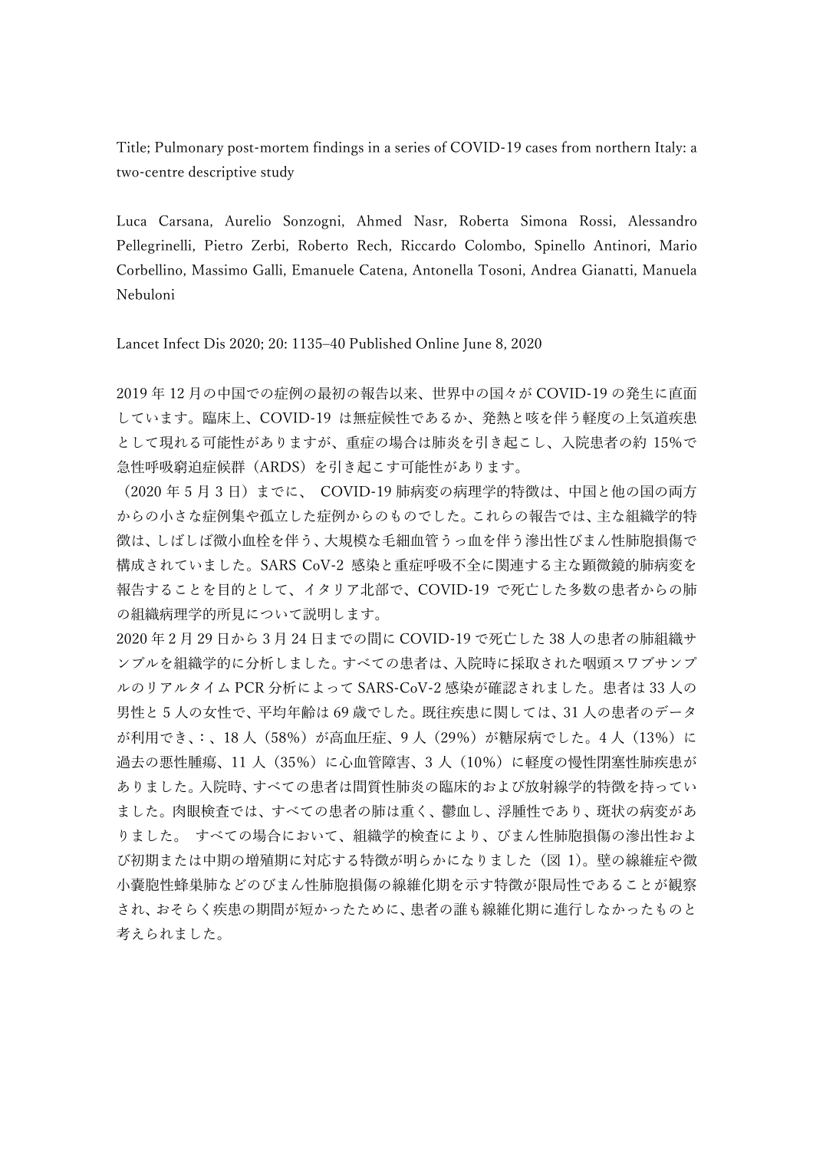Title; Pulmonary post-mortem findings in a series of COVID-19 cases from northern Italy: a two-centre descriptive study

Luca Carsana, Aurelio Sonzogni, Ahmed Nasr, Roberta Simona Rossi, Alessandro Pellegrinelli, Pietro Zerbi, Roberto Rech, Riccardo Colombo, Spinello Antinori, Mario Corbellino, Massimo Galli, Emanuele Catena, Antonella Tosoni, Andrea Gianatti, Manuela Nebuloni

Lancet Infect Dis 2020; 20: 1135–40 Published Online June 8, 2020

2019 年 12 月の中国での症例の最初の報告以来、世界中の国々が COVID-19 の発生に直面 しています。臨床上、COVID-19 は無症候性であるか、発熱と咳を伴う軽度の上気道疾患 として現れる可能性がありますが、重症の場合は肺炎を引き起こし、入院患者の約 15%で 急性呼吸窮迫症候群(ARDS)を引き起こす可能性があります。

(2020年5月3日)までに、 COVID-19 肺病変の病理学的特徴は、中国と他の国の両方 からの小さな症例集や孤立した症例からのものでした。これらの報告では、主な組織学的特 徴は、しばしば微小血栓を伴う、大規模な毛細血管うっ血を伴う滲出性びまん性肺胞損傷で 構成されていました。SARS CoV-2 感染と重症呼吸不全に関連する主な顕微鏡的肺病変を 報告することを目的として、イタリア北部で、COVID-19 で死亡した多数の患者からの肺 の組織病理学的所見について説明します。

2020 年 2 月 29 日から 3 月 24 日までの間に COVID-19 で死亡した 38 人の患者の肺組織サ ンプルを組織学的に分析しました。すべての患者は、入院時に採取された咽頭スワブサンプ ルのリアルタイム PCR 分析によって SARS-CoV-2 感染が確認されました。患者は 33 人の 男性と 5 人の女性で、平均年齢は 69 歳でした。既往疾患に関しては、31 人の患者のデータ が利用でき、:、18 人(58%)が高血圧症、9 人(29%)が糖尿病でした。4 人(13%)に 過去の悪性腫瘍、11 人(35%)に心血管障害、3 人(10%)に軽度の慢性閉塞性肺疾患が ありました。入院時、すべての患者は間質性肺炎の臨床的および放射線学的特徴を持ってい ました。肉眼検査では、すべての患者の肺は重く、鬱血し、浮腫性であり、斑状の病変があ りました。 すべての場合において、組織学的検査により、びまん性肺胞損傷の滲出性およ び初期または中期の増殖期に対応する特徴が明らかになりました(図 1)。壁の線維症や微 小嚢胞性蜂巣肺などのびまん性肺胞損傷の線維化期を示す特徴が限局性であることが観察 され、おそらく疾患の期間が短かったために、患者の誰も線維化期に進行しなかったものと 考えられました。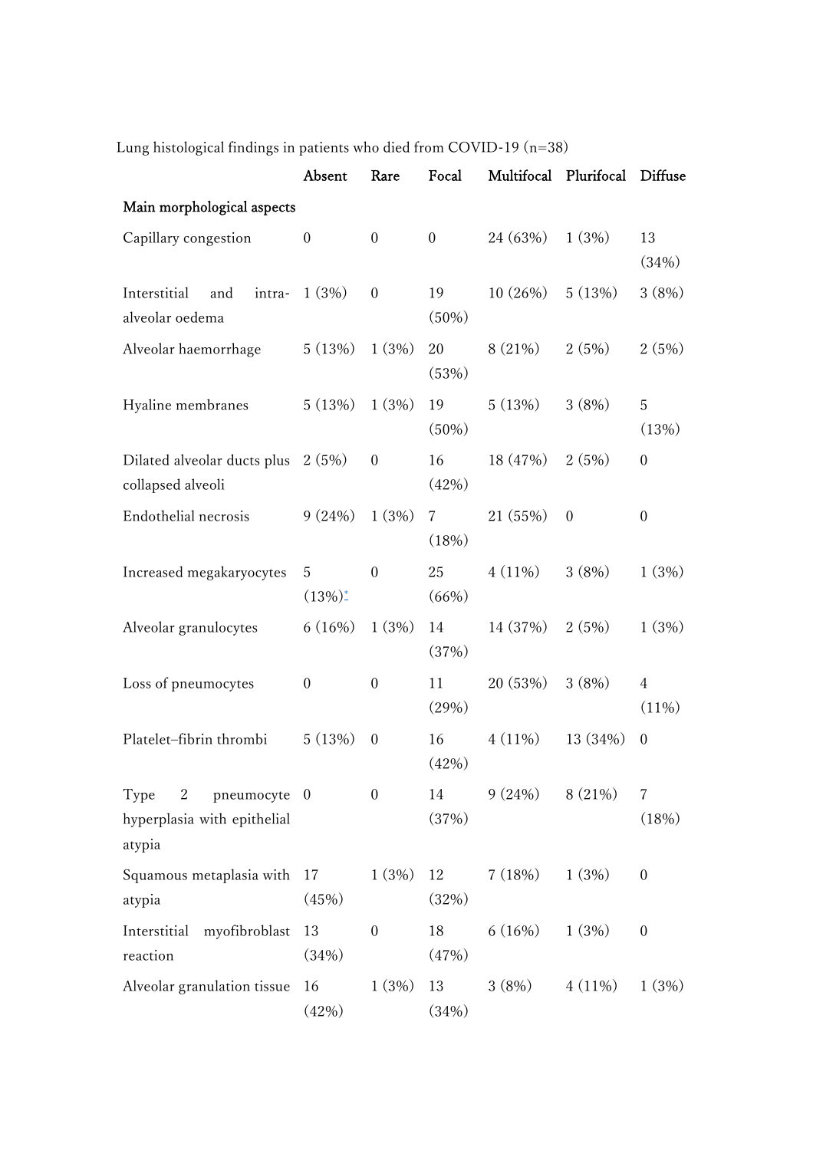|                                                                    | Absent           | Rare             | Focal            | Multifocal | Plurifocal       | Diffuse          |  |  |  |  |  |
|--------------------------------------------------------------------|------------------|------------------|------------------|------------|------------------|------------------|--|--|--|--|--|
| Main morphological aspects                                         |                  |                  |                  |            |                  |                  |  |  |  |  |  |
| Capillary congestion                                               | $\boldsymbol{0}$ | $\boldsymbol{0}$ | $\boldsymbol{0}$ | 24 (63%)   | 1(3%)            | 13<br>(34%)      |  |  |  |  |  |
| Interstitial<br>and<br>intra-<br>alveolar oedema                   | 1(3%)            | $\boldsymbol{0}$ | 19<br>$(50\%)$   | 10(26%)    | 5(13%)           | 3(8%)            |  |  |  |  |  |
| Alveolar haemorrhage                                               | 5(13%)           | 1(3%)            | 20<br>(53%)      | 8 (21%)    | 2(5%)            | 2(5%)            |  |  |  |  |  |
| Hyaline membranes                                                  | 5(13%)           | 1(3%)            | 19<br>$(50\%)$   | 5(13%)     | 3(8%)            | 5<br>(13%)       |  |  |  |  |  |
| Dilated alveolar ducts plus<br>collapsed alveoli                   | 2(5%)            | $\boldsymbol{0}$ | 16<br>(42%)      | 18 (47%)   | 2(5%)            | $\boldsymbol{0}$ |  |  |  |  |  |
| Endothelial necrosis                                               | 9(24%)           | 1(3%)            | 7<br>(18%)       | 21 (55%)   | $\boldsymbol{0}$ | $\boldsymbol{0}$ |  |  |  |  |  |
| Increased megakaryocytes                                           | 5<br>$(13\%)^*$  | $\mathbf{0}$     | 25<br>(66%)      | $4(11\%)$  | 3(8%)            | 1(3%)            |  |  |  |  |  |
| Alveolar granulocytes                                              | 6(16%)           | 1(3%)            | 14<br>(37%)      | 14 (37%)   | 2(5%)            | 1(3%)            |  |  |  |  |  |
| Loss of pneumocytes                                                | $\boldsymbol{0}$ | $\boldsymbol{0}$ | 11<br>(29%)      | 20 (53%)   | 3(8%)            | 4<br>$(11\%)$    |  |  |  |  |  |
| Platelet-fibrin thrombi                                            | 5(13%)           | $\boldsymbol{0}$ | 16<br>(42%)      | $4(11\%)$  | 13 (34%)         | $\boldsymbol{0}$ |  |  |  |  |  |
| pneumocyte 0<br>2<br>Type<br>hyperplasia with epithelial<br>atypia |                  | $\boldsymbol{0}$ | 14<br>(37%)      | 9(24%)     | 8(21%)           | 7<br>(18%)       |  |  |  |  |  |
| Squamous metaplasia with<br>atypia                                 | 17<br>(45%)      | 1(3%)            | 12<br>(32%)      | 7(18%)     | 1(3%)            | $\boldsymbol{0}$ |  |  |  |  |  |
| Interstitial<br>myofibroblast<br>reaction                          | 13<br>(34%)      | $\boldsymbol{0}$ | 18<br>(47%)      | 6(16%)     | 1(3%)            | $\boldsymbol{0}$ |  |  |  |  |  |
| Alveolar granulation tissue                                        | 16<br>(42%)      | 1(3%)            | 13<br>(34%)      | 3(8%)      | $4(11\%)$        | 1(3%)            |  |  |  |  |  |

Lung histological findings in patients who died from COVID-19 (n=38)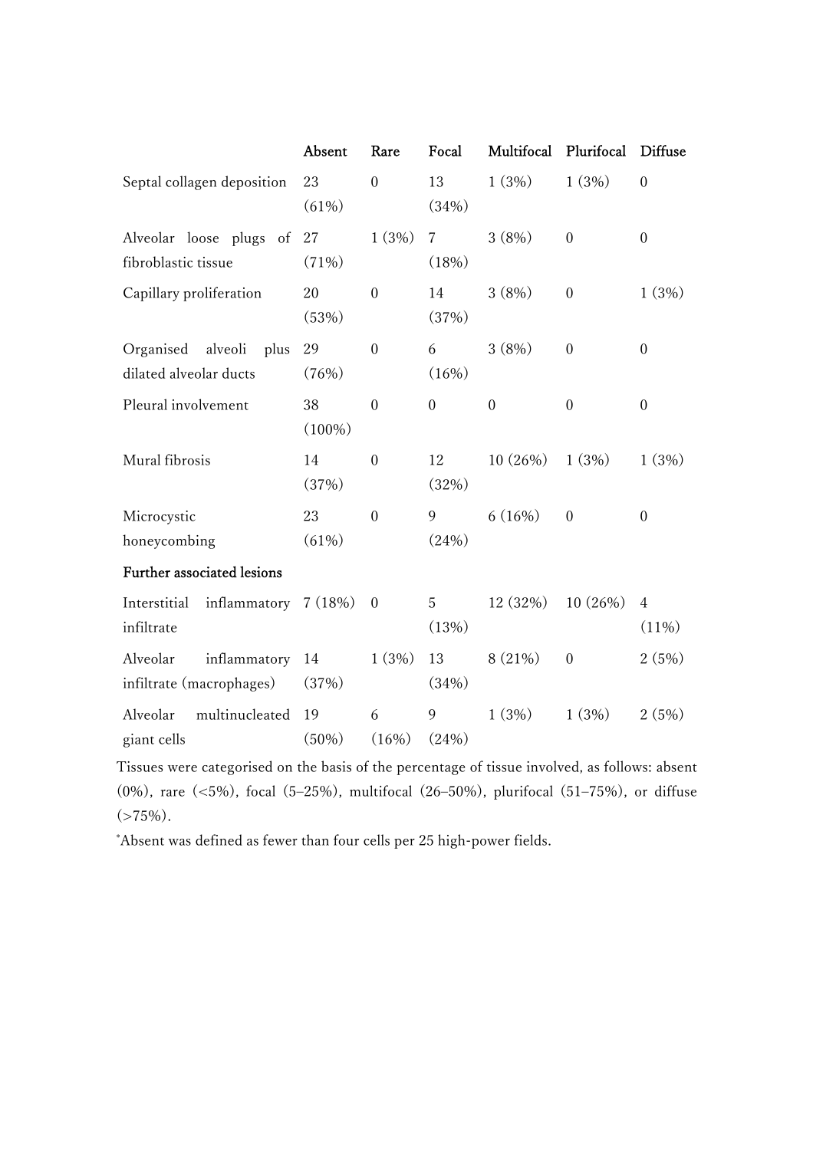|                                                        | Absent          | Rare             | Focal            | Multifocal       | Plurifocal       | <b>Diffuse</b>             |
|--------------------------------------------------------|-----------------|------------------|------------------|------------------|------------------|----------------------------|
| Septal collagen deposition                             | 23<br>(61%)     | $\overline{0}$   | 13<br>(34%)      | 1(3%)            | 1(3%)            | $\mathbf{0}$               |
| Alveolar loose plugs of<br>fibroblastic tissue         | 27<br>(71%)     | 1(3%)            | 7<br>(18%)       | 3(8%)            | $\boldsymbol{0}$ | $\boldsymbol{0}$           |
| Capillary proliferation                                | 20<br>(53%)     | $\overline{0}$   | 14<br>(37%)      | 3(8%)            | $\boldsymbol{0}$ | 1(3%)                      |
| Organised<br>alveoli<br>plus<br>dilated alveolar ducts | 29<br>(76%)     | $\boldsymbol{0}$ | 6<br>(16%)       | 3(8%)            | $\boldsymbol{0}$ | $\boldsymbol{0}$           |
| Pleural involvement                                    | 38<br>$(100\%)$ | $\boldsymbol{0}$ | $\boldsymbol{0}$ | $\boldsymbol{0}$ | $\mathbf{0}$     | $\mathbf{0}$               |
| Mural fibrosis                                         | 14<br>(37%)     | $\mathbf{0}$     | 12<br>(32%)      | 10(26%)          | 1(3%)            | 1(3%)                      |
| Microcystic<br>honeycombing                            | 23<br>(61%)     | $\overline{0}$   | 9<br>(24%)       | 6(16%)           | $\mathbf{0}$     | $\overline{0}$             |
| Further associated lesions                             |                 |                  |                  |                  |                  |                            |
| Interstitial inflammatory 7 (18%)<br>infiltrate        |                 | $\mathbf{0}$     | 5<br>(13%)       | 12(32%)          | 10(26%)          | $\overline{4}$<br>$(11\%)$ |
| Alveolar<br>inflammatory<br>infiltrate (macrophages)   | 14<br>(37%)     | 1(3%)            | 13<br>(34%)      | 8(21%)           | $\boldsymbol{0}$ | 2(5%)                      |
| multinucleated<br>Alveolar<br>giant cells              | 19<br>$(50\%)$  | 6<br>(16%)       | 9<br>(24%)       | 1(3%)            | 1(3%)            | 2(5%)                      |

Tissues were categorised on the basis of the percentage of tissue involved, as follows: absent (0%), rare (<5%), focal (5–25%), multifocal (26–50%), plurifocal (51–75%), or diffuse  $(>75\%).$ 

\*Absent was defined as fewer than four cells per 25 high-power fields.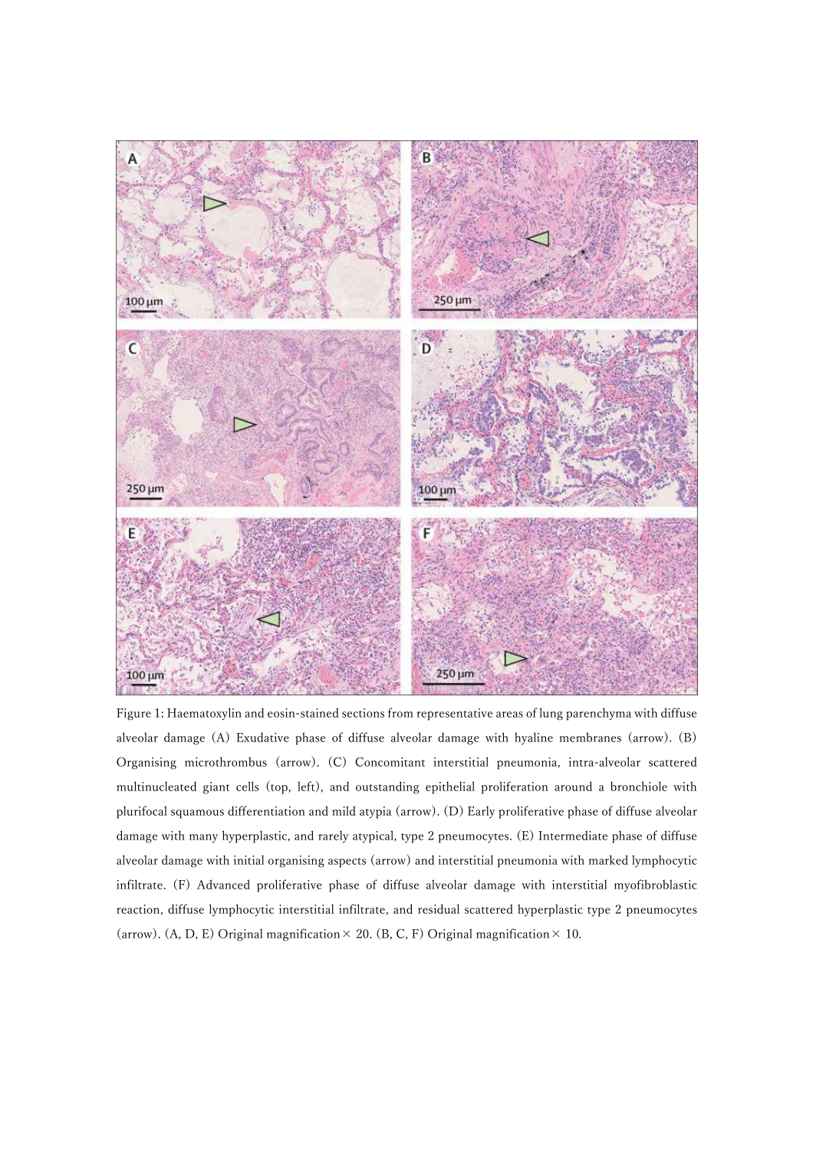

Figure 1: Haematoxylin and eosin-stained sections from representative areas of lung parenchyma with diffuse alveolar damage (A) Exudative phase of diffuse alveolar damage with hyaline membranes (arrow). (B) Organising microthrombus (arrow). (C) Concomitant interstitial pneumonia, intra-alveolar scattered multinucleated giant cells (top, left), and outstanding epithelial proliferation around a bronchiole with plurifocal squamous differentiation and mild atypia (arrow). (D) Early proliferative phase of diffuse alveolar damage with many hyperplastic, and rarely atypical, type 2 pneumocytes. (E) Intermediate phase of diffuse alveolar damage with initial organising aspects (arrow) and interstitial pneumonia with marked lymphocytic infiltrate. (F) Advanced proliferative phase of diffuse alveolar damage with interstitial myofibroblastic reaction, diffuse lymphocytic interstitial infiltrate, and residual scattered hyperplastic type 2 pneumocytes (arrow). (A, D, E) Original magnification  $\times$  20. (B, C, F) Original magnification  $\times$  10.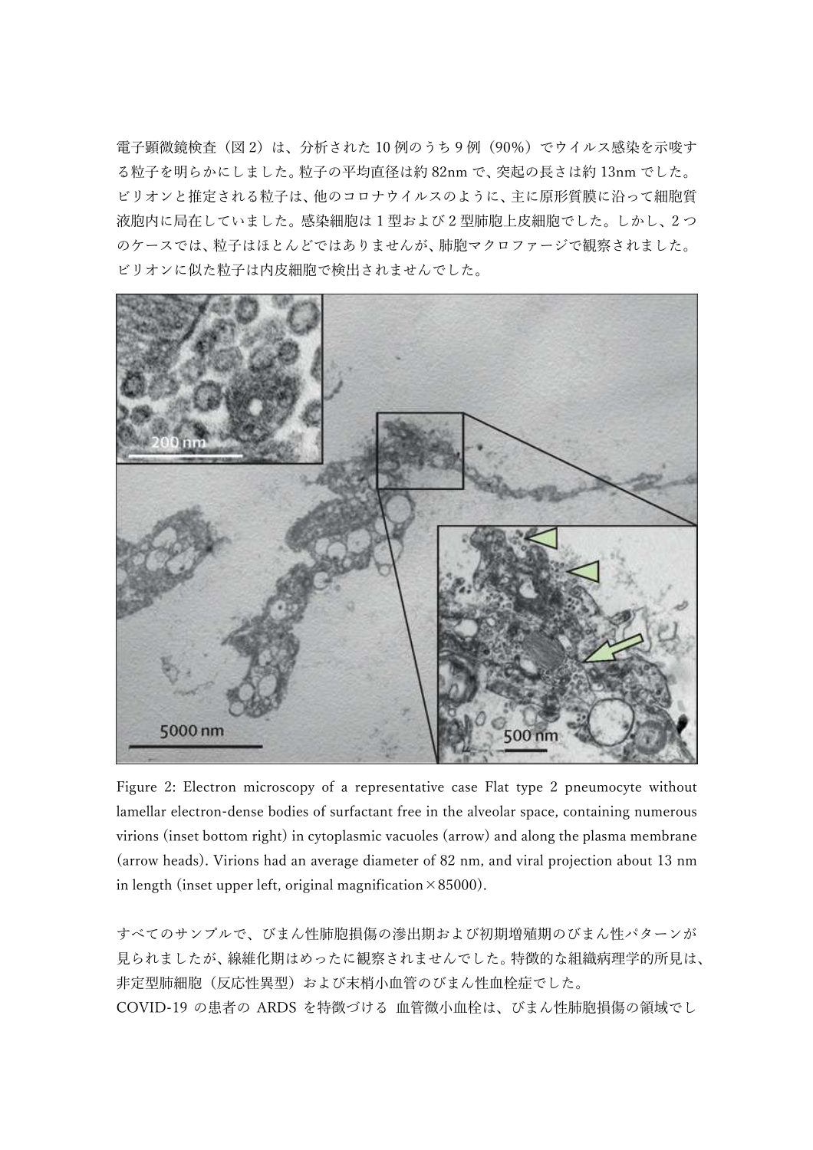電子顕微鏡検査(図2)は、分析された10例のうち9例(90%)でウイルス感染を示唆す る粒子を明らかにしました。粒子の平均直径は約 82nm で、突起の⻑さは約 13nm でした。 ビリオンと推定される粒子は、他のコロナウイルスのように、主に原形質膜に沿って細胞質 液胞内に局在していました。感染細胞は 1 型および 2 型肺胞上皮細胞でした。しかし、2 つ のケースでは、粒子はほとんどではありませんが、肺胞マクロファージで観察されました。 ビリオンに似た粒子は内皮細胞で検出されませんでした。



Figure 2: Electron microscopy of a representative case Flat type 2 pneumocyte without lamellar electron-dense bodies of surfactant free in the alveolar space, containing numerous virions (inset bottom right) in cytoplasmic vacuoles (arrow) and along the plasma membrane (arrow heads). Virions had an average diameter of 82 nm, and viral projection about 13 nm in length (inset upper left, original magnification  $\times 85000$ ).

すべてのサンプルで、びまん性肺胞損傷の滲出期および初期増殖期のびまん性パターンが 見られましたが、線維化期はめったに観察されませんでした。特徴的な組織病理学的所見は、 非定型肺細胞(反応性異型)および末梢小血管のびまん性血栓症でした。 COVID-19 の患者の ARDS を特徴づける 血管微小血栓は、びまん性肺胞損傷の領域でし